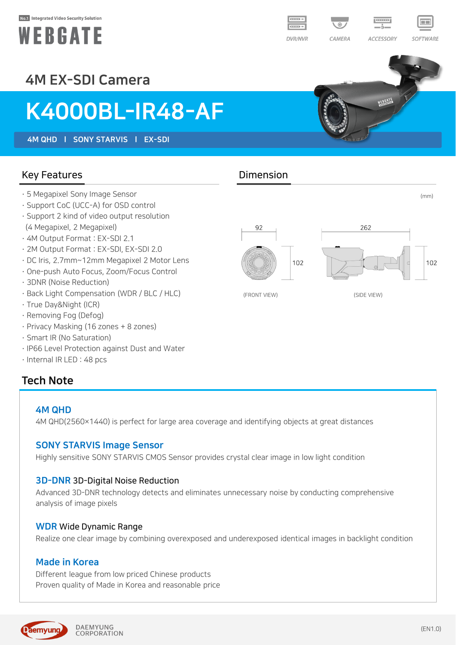#### No.1 Integrated Video Security Solution







# 4M EX-SDI Camera

# K4000BL-IR48-AF

4M QHD l SONY STARVIS l EX-SDI

### Key Features **Dimension**

- · 5 Megapixel Sony Image Sensor
- · Support CoC (UCC-A) for OSD control
- · Support 2 kind of video output resolution (4 Megapixel, 2 Megapixel)
- · 4M Output Format : EX-SDI 2.1
- · 2M Output Format : EX-SDI, EX-SDI 2.0
- · DC Iris, 2.7mm~12mm Megapixel 2 Motor Lens
- · One-push Auto Focus, Zoom/Focus Control
- · 3DNR (Noise Reduction)
- · Back Light Compensation (WDR / BLC / HLC)
- · True Day&Night (ICR)
- · Removing Fog (Defog)
- · Privacy Masking (16 zones + 8 zones)
- · Smart IR (No Saturation)
- · IP66 Level Protection against Dust and Water
- · Internal IR LED : 48 pcs

### Tech Note

#### 4M QHD

4M QHD(2560×1440) is perfect for large area coverage and identifying objects at great distances

#### SONY STARVIS Image Sensor

Highly sensitive SONY STARVIS CMOS Sensor provides crystal clear image in low light condition

#### 3D-DNR 3D-Digital Noise Reduction

Advanced 3D-DNR technology detects and eliminates unnecessary noise by conducting comprehensive analysis of image pixels

#### WDR Wide Dynamic Range

Realize one clear image by combining overexposed and underexposed identical images in backlight condition

#### Made in Korea

Different league from low priced Chinese products Proven quality of Made in Korea and reasonable price